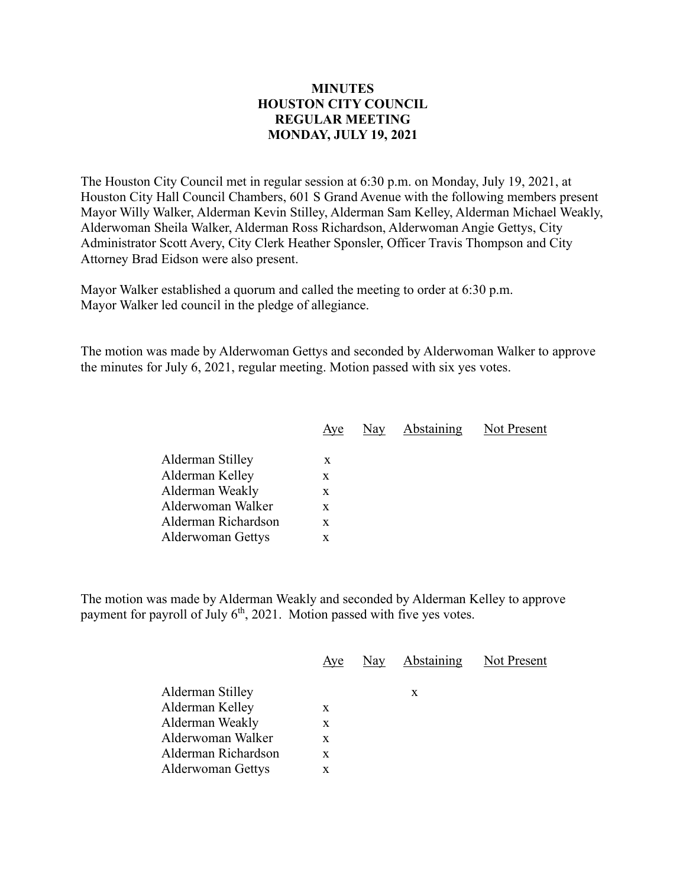## **MINUTES HOUSTON CITY COUNCIL REGULAR MEETING MONDAY, JULY 19, 2021**

The Houston City Council met in regular session at 6:30 p.m. on Monday, July 19, 2021, at Houston City Hall Council Chambers, 601 S Grand Avenue with the following members present Mayor Willy Walker, Alderman Kevin Stilley, Alderman Sam Kelley, Alderman Michael Weakly, Alderwoman Sheila Walker, Alderman Ross Richardson, Alderwoman Angie Gettys, City Administrator Scott Avery, City Clerk Heather Sponsler, Officer Travis Thompson and City Attorney Brad Eidson were also present.

Mayor Walker established a quorum and called the meeting to order at 6:30 p.m. Mayor Walker led council in the pledge of allegiance.

The motion was made by Alderwoman Gettys and seconded by Alderwoman Walker to approve the minutes for July 6, 2021, regular meeting. Motion passed with six yes votes.

| Aye | Nay | Abstaining | Not Present |
|-----|-----|------------|-------------|
|     |     |            |             |
| X   |     |            |             |
| x   |     |            |             |
| X   |     |            |             |
| X   |     |            |             |
| X   |     |            |             |
| x   |     |            |             |
|     |     |            |             |

The motion was made by Alderman Weakly and seconded by Alderman Kelley to approve payment for payroll of July  $6<sup>th</sup>$ , 2021. Motion passed with five yes votes.

|                     | Aye | Nay Abstaining Not Present |  |
|---------------------|-----|----------------------------|--|
| Alderman Stilley    |     | X                          |  |
| Alderman Kelley     | X   |                            |  |
| Alderman Weakly     | X   |                            |  |
| Alderwoman Walker   | X   |                            |  |
| Alderman Richardson | X   |                            |  |
| Alderwoman Gettys   | X   |                            |  |
|                     |     |                            |  |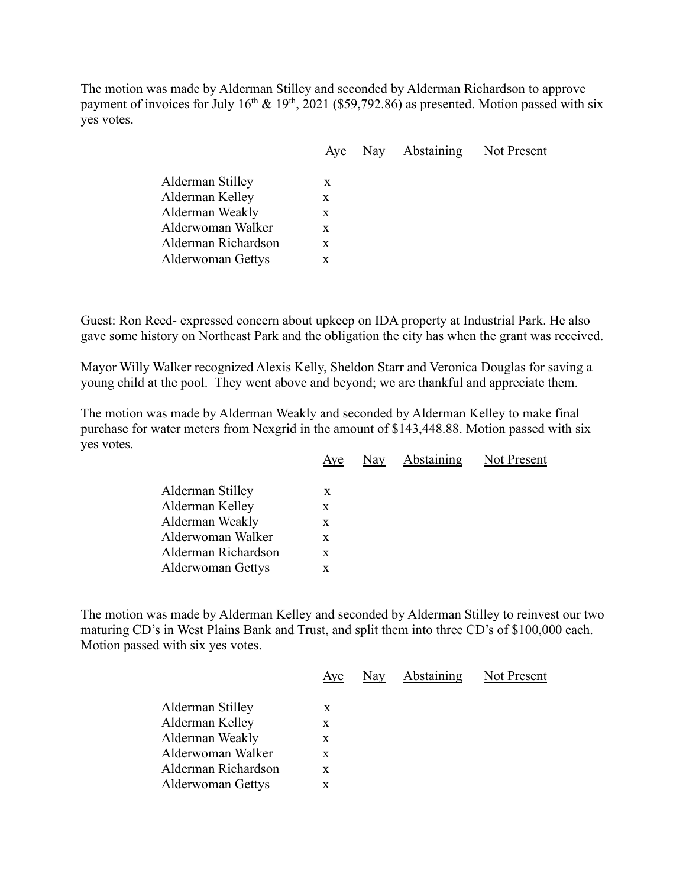The motion was made by Alderman Stilley and seconded by Alderman Richardson to approve payment of invoices for July  $16^{th} \& 19^{th}$ , 2021 (\$59,792.86) as presented. Motion passed with six yes votes.

|                          | Aye | Nay | <b>Abstaining</b> | Not Present |
|--------------------------|-----|-----|-------------------|-------------|
| Alderman Stilley         |     |     |                   |             |
|                          | X   |     |                   |             |
| Alderman Kelley          | X   |     |                   |             |
| Alderman Weakly          | X   |     |                   |             |
| Alderwoman Walker        | X   |     |                   |             |
| Alderman Richardson      | X   |     |                   |             |
| <b>Alderwoman Gettys</b> | X   |     |                   |             |
|                          |     |     |                   |             |

Guest: Ron Reed- expressed concern about upkeep on IDA property at Industrial Park. He also gave some history on Northeast Park and the obligation the city has when the grant was received.

Mayor Willy Walker recognized Alexis Kelly, Sheldon Starr and Veronica Douglas for saving a young child at the pool. They went above and beyond; we are thankful and appreciate them.

The motion was made by Alderman Weakly and seconded by Alderman Kelley to make final purchase for water meters from Nexgrid in the amount of \$143,448.88. Motion passed with six yes votes.

|                                                                                                                                | Aye                        | Nay | Abstaining | Not Present |
|--------------------------------------------------------------------------------------------------------------------------------|----------------------------|-----|------------|-------------|
| Alderman Stilley<br>Alderman Kelley<br>Alderman Weakly<br>Alderwoman Walker<br>Alderman Richardson<br><b>Alderwoman Gettys</b> | X<br>X<br>X<br>X<br>X<br>X |     |            |             |
|                                                                                                                                |                            |     |            |             |

The motion was made by Alderman Kelley and seconded by Alderman Stilley to reinvest our two maturing CD's in West Plains Bank and Trust, and split them into three CD's of \$100,000 each. Motion passed with six yes votes.

| Aye | Nay | Not Present |
|-----|-----|-------------|
| X   |     |             |
| X   |     |             |
| X   |     |             |
| X   |     |             |
| X   |     |             |
| x   |     |             |
|     |     | Abstaining  |